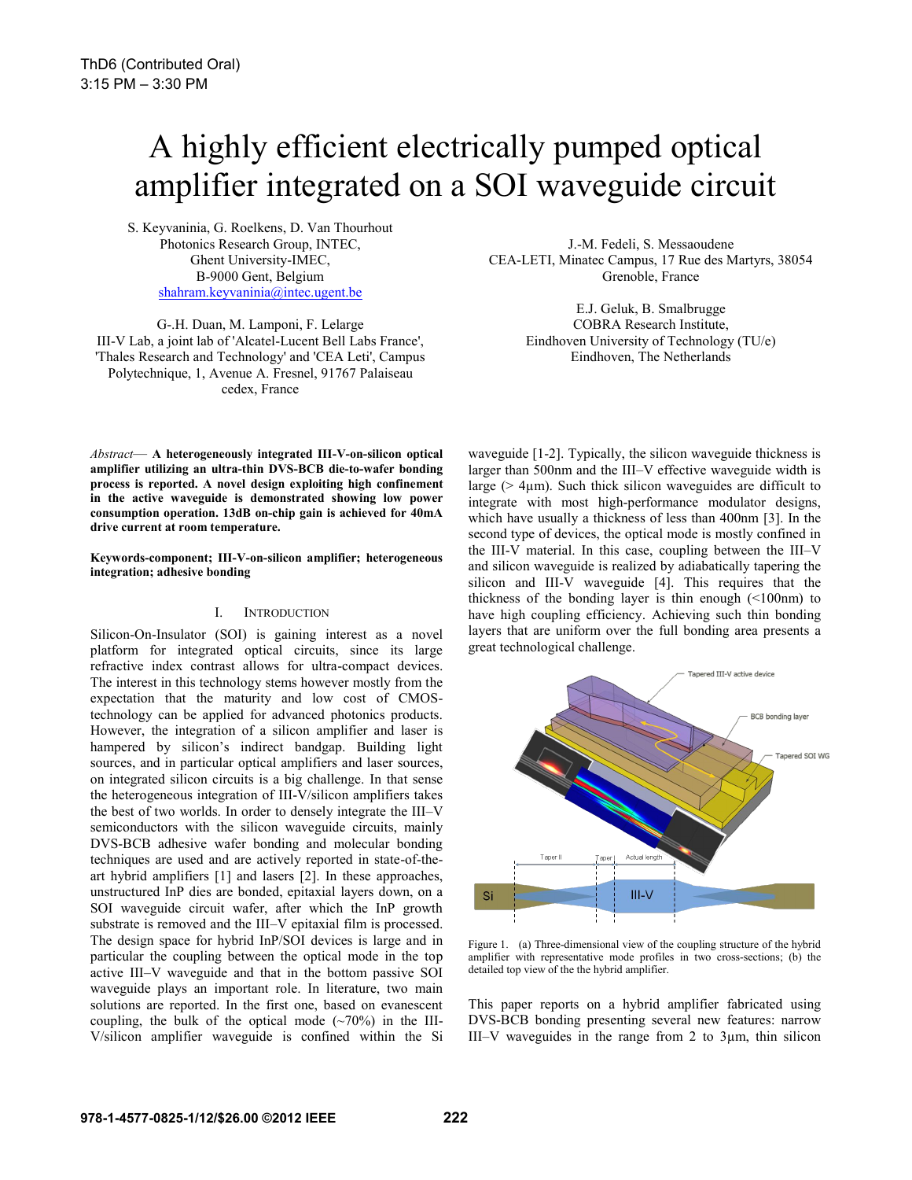# A highly efficient electrically pumped optical amplifier integrated on a SOI waveguide circuit

S. Keyvaninia, G. Roelkens, D. Van Thourhout Photonics Research Group, INTEC, Ghent University-IMEC, B-9000 Gent, Belgium shahram.keyvaninia@intec.ugent.be

G-.H. Duan, M. Lamponi, F. Lelarge III-V Lab, a joint lab of 'Alcatel-Lucent Bell Labs France', 'Thales Research and Technology' and 'CEA Leti', Campus Polytechnique, 1, Avenue A. Fresnel, 91767 Palaiseau cedex, France

J.-M. Fedeli, S. Messaoudene CEA-LETI, Minatec Campus, 17 Rue des Martyrs, 38054 Grenoble, France

> E.J. Geluk, B. Smalbrugge COBRA Research Institute, Eindhoven University of Technology (TU/e) Eindhoven, The Netherlands

*Abstract*— **A heterogeneously integrated III-V-on-silicon optical amplifier utilizing an ultra-thin DVS-BCB die-to-wafer bonding process is reported. A novel design exploiting high confinement in the active waveguide is demonstrated showing low power consumption operation. 13dB on-chip gain is achieved for 40mA drive current at room temperature.** 

#### **Keywords-component; III-V-on-silicon amplifier; heterogeneous integration; adhesive bonding**

### I. INTRODUCTION

Silicon-On-Insulator (SOI) is gaining interest as a novel platform for integrated optical circuits, since its large refractive index contrast allows for ultra-compact devices. The interest in this technology stems however mostly from the expectation that the maturity and low cost of CMOStechnology can be applied for advanced photonics products. However, the integration of a silicon amplifier and laser is hampered by silicon's indirect bandgap. Building light sources, and in particular optical amplifiers and laser sources, on integrated silicon circuits is a big challenge. In that sense the heterogeneous integration of III-V/silicon amplifiers takes the best of two worlds. In order to densely integrate the III–V semiconductors with the silicon waveguide circuits, mainly DVS-BCB adhesive wafer bonding and molecular bonding techniques are used and are actively reported in state-of-theart hybrid amplifiers [1] and lasers [2]. In these approaches, unstructured InP dies are bonded, epitaxial layers down, on a SOI waveguide circuit wafer, after which the InP growth substrate is removed and the III–V epitaxial film is processed. The design space for hybrid InP/SOI devices is large and in particular the coupling between the optical mode in the top active III–V waveguide and that in the bottom passive SOI waveguide plays an important role. In literature, two main solutions are reported. In the first one, based on evanescent coupling, the bulk of the optical mode  $(\sim 70\%)$  in the III-V/silicon amplifier waveguide is confined within the Si

waveguide [1-2]. Typically, the silicon waveguide thickness is larger than 500nm and the III–V effective waveguide width is large ( $> 4\mu$ m). Such thick silicon waveguides are difficult to integrate with most high-performance modulator designs, which have usually a thickness of less than 400nm [3]. In the second type of devices, the optical mode is mostly confined in the III-V material. In this case, coupling between the III–V and silicon waveguide is realized by adiabatically tapering the silicon and III-V waveguide [4]. This requires that the thickness of the bonding layer is thin enough (<100nm) to have high coupling efficiency. Achieving such thin bonding layers that are uniform over the full bonding area presents a great technological challenge.



Figure 1. (a) Three-dimensional view of the coupling structure of the hybrid amplifier with representative mode profiles in two cross-sections; (b) the detailed top view of the the hybrid amplifier.

This paper reports on a hybrid amplifier fabricated using DVS-BCB bonding presenting several new features: narrow III–V waveguides in the range from 2 to 3µm, thin silicon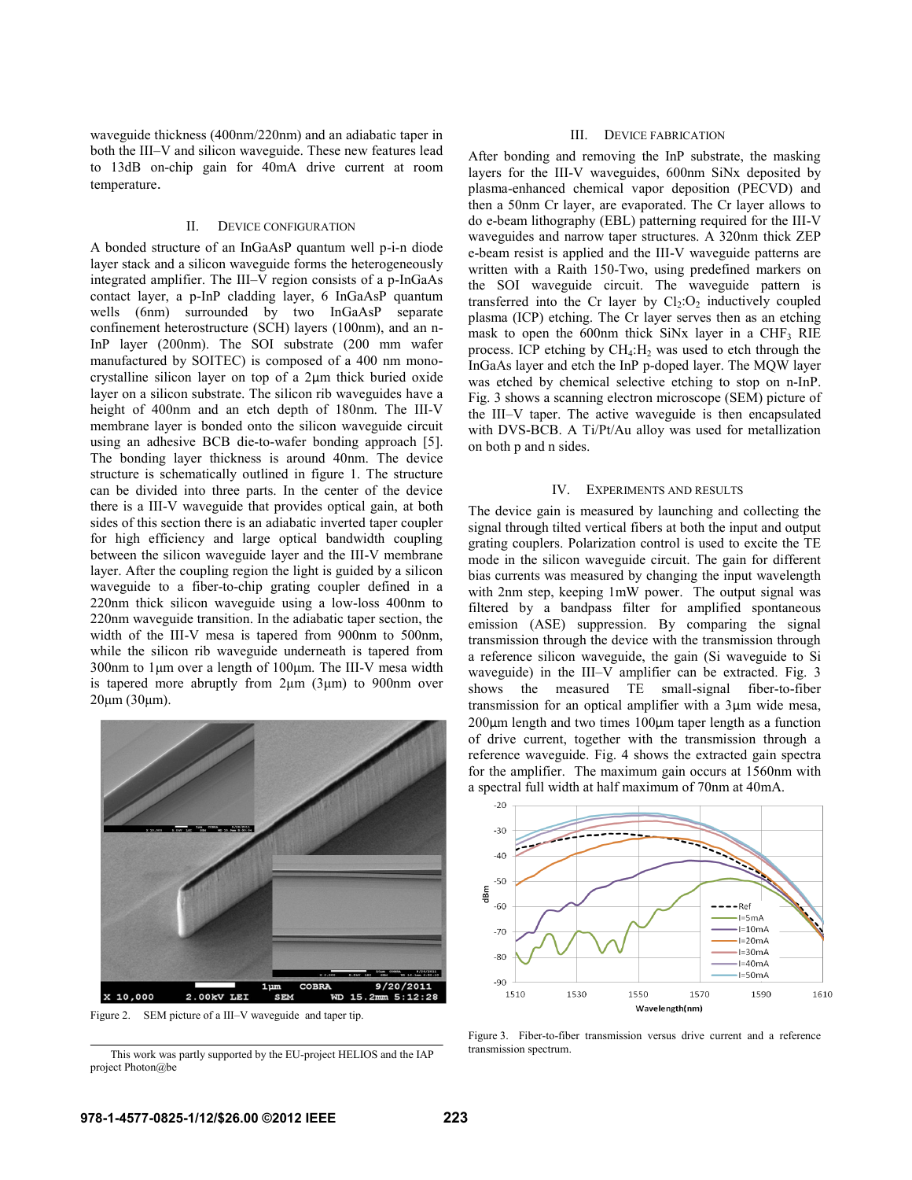waveguide thickness (400nm/220nm) and an adiabatic taper in both the III–V and silicon waveguide. These new features lead to 13dB on-chip gain for 40mA drive current at room temperature.

### II. DEVICE CONFIGURATION

A bonded structure of an InGaAsP quantum well p-i-n diode layer stack and a silicon waveguide forms the heterogeneously integrated amplifier. The III–V region consists of a p-InGaAs contact layer, a p-InP cladding layer, 6 InGaAsP quantum wells (6nm) surrounded by two InGaAsP separate confinement heterostructure (SCH) layers (100nm), and an n-InP layer (200nm). The SOI substrate (200 mm wafer manufactured by SOITEC) is composed of a 400 nm monocrystalline silicon layer on top of a 2µm thick buried oxide layer on a silicon substrate. The silicon rib waveguides have a height of 400nm and an etch depth of 180nm. The III-V membrane layer is bonded onto the silicon waveguide circuit using an adhesive BCB die-to-wafer bonding approach [5]. The bonding layer thickness is around 40nm. The device structure is schematically outlined in figure 1. The structure can be divided into three parts. In the center of the device there is a III-V waveguide that provides optical gain, at both sides of this section there is an adiabatic inverted taper coupler for high efficiency and large optical bandwidth coupling between the silicon waveguide layer and the III-V membrane layer. After the coupling region the light is guided by a silicon waveguide to a fiber-to-chip grating coupler defined in a 220nm thick silicon waveguide using a low-loss 400nm to 220nm waveguide transition. In the adiabatic taper section, the width of the III-V mesa is tapered from 900nm to 500nm, while the silicon rib waveguide underneath is tapered from 300nm to 1μm over a length of 100μm. The III-V mesa width is tapered more abruptly from 2μm (3μm) to 900nm over 20μm (30μm).



Figure 2. SEM picture of a III–V waveguide and taper tip.

transmission spectrum. This work was partly supported by the EU-project HELIOS and the IAP project Photon@be

#### III. DEVICE FABRICATION

After bonding and removing the InP substrate, the masking layers for the III-V waveguides, 600nm SiNx deposited by plasma-enhanced chemical vapor deposition (PECVD) and then a 50nm Cr layer, are evaporated. The Cr layer allows to do e-beam lithography (EBL) patterning required for the III-V waveguides and narrow taper structures. A 320nm thick ZEP e-beam resist is applied and the III-V waveguide patterns are written with a Raith 150-Two, using predefined markers on the SOI waveguide circuit. The waveguide pattern is transferred into the Cr layer by  $Cl_2:O_2$  inductively coupled plasma (ICP) etching. The Cr layer serves then as an etching mask to open the 600nm thick  $SiNx$  layer in a CHF<sub>3</sub> RIE process. ICP etching by  $CH_4$ :  $H_2$  was used to etch through the InGaAs layer and etch the InP p-doped layer. The MQW layer was etched by chemical selective etching to stop on n-InP. Fig. 3 shows a scanning electron microscope (SEM) picture of the III–V taper. The active waveguide is then encapsulated with DVS-BCB. A Ti/Pt/Au alloy was used for metallization on both p and n sides.

### IV. EXPERIMENTS AND RESULTS

The device gain is measured by launching and collecting the signal through tilted vertical fibers at both the input and output grating couplers. Polarization control is used to excite the TE mode in the silicon waveguide circuit. The gain for different bias currents was measured by changing the input wavelength with 2nm step, keeping 1mW power. The output signal was filtered by a bandpass filter for amplified spontaneous emission (ASE) suppression. By comparing the signal transmission through the device with the transmission through a reference silicon waveguide, the gain (Si waveguide to Si waveguide) in the III–V amplifier can be extracted. Fig. 3 shows the measured TE small-signal fiber-to-fiber transmission for an optical amplifier with a 3µm wide mesa,  $200\mu$ m length and two times  $100\mu$ m taper length as a function of drive current, together with the transmission through a reference waveguide. Fig. 4 shows the extracted gain spectra for the amplifier. The maximum gain occurs at 1560nm with a spectral full width at half maximum of 70nm at 40mA.



Figure 3. Fiber-to-fiber transmission versus drive current and a reference